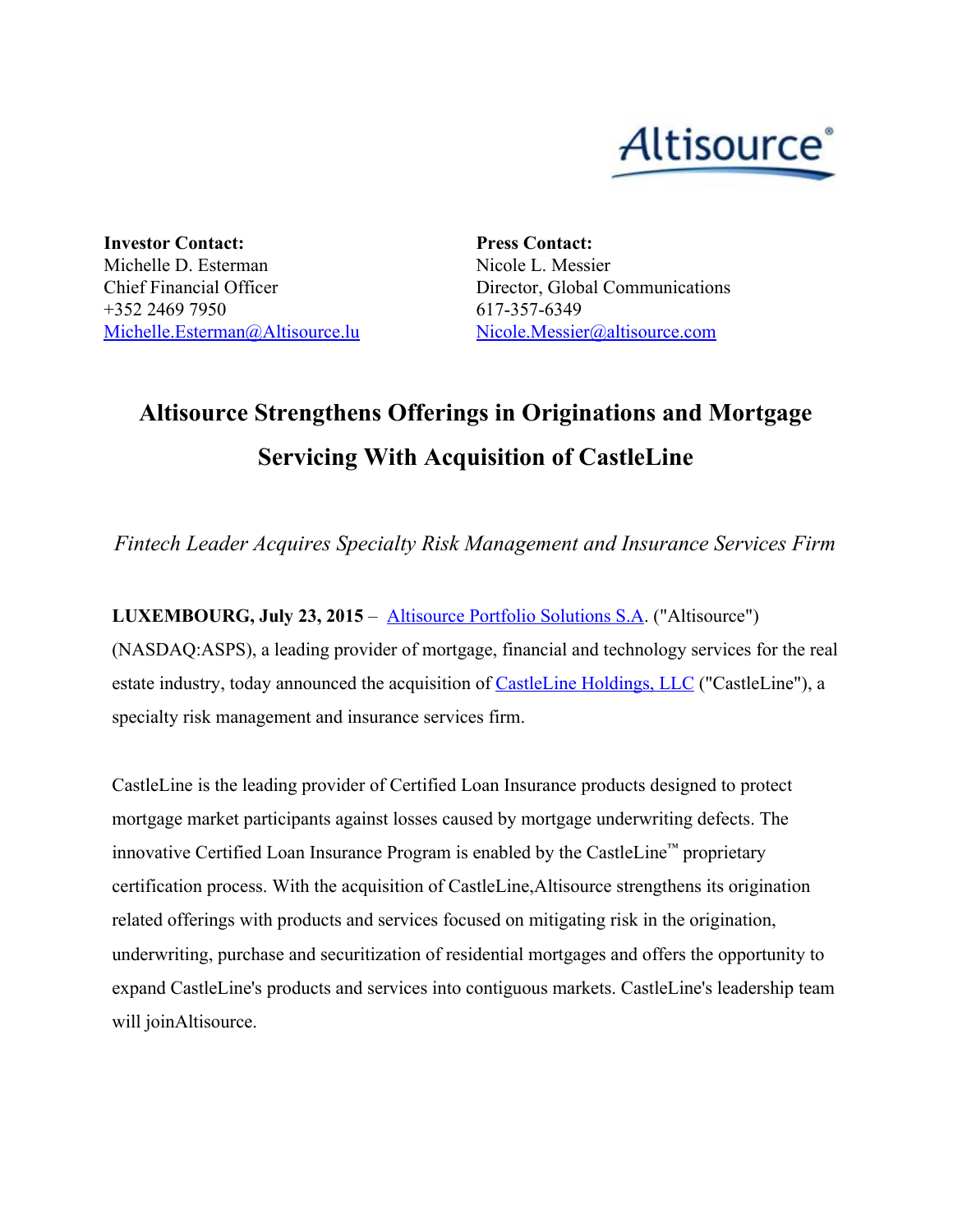

**Investor Contact:** Michelle D. Esterman Chief Financial Officer +352 2469 7950 [Michelle.Esterman@Altisource.lu](mailto:Michelle.Esterman@Altisource.lu)

**Press Contact:** Nicole L. Messier Director, Global Communications 617-357-6349 [Nicole.Messier@altisource.com](mailto:Nicole.Messier@altisource.com)

## **Altisource Strengthens Offerings in Originations and Mortgage Servicing With Acquisition of CastleLine**

*Fintech Leader Acquires Specialty Risk Management and Insurance Services Firm*

**LUXEMBOURG, July 23, 2015**– [Altisource](http://www.globenewswire.com/newsroom/ctr?d=10142766&l=2&a=Altisource%20Portfolio%20Solutions%20S.A&u=http%3A%2F%2Fwww.altisource.com%2F) Portfolio Solutions S.A. ("Altisource") (NASDAQ:ASPS), a leading provider of mortgage, financial and technology services for the real estate industry, today announced the acquisition of **[CastleLine](http://www.globenewswire.com/newsroom/ctr?d=10142766&l=2&a=CastleLine%20Holdings%2C%20LLC&u=http%3A%2F%2Fcastleline.com%2F) Holdings**, LLC ("CastleLine"), a specialty risk management and insurance services firm.

CastleLine is the leading provider of Certified Loan Insurance products designed to protect mortgage market participants against losses caused by mortgage underwriting defects. The innovative Certified Loan Insurance Program is enabled by the CastleLine™ proprietary certification process. With the acquisition of CastleLine,Altisource strengthens its origination related offerings with products and services focused on mitigating risk in the origination, underwriting, purchase and securitization of residential mortgages and offers the opportunity to expand CastleLine's products and services into contiguous markets. CastleLine's leadership team will joinAltisource.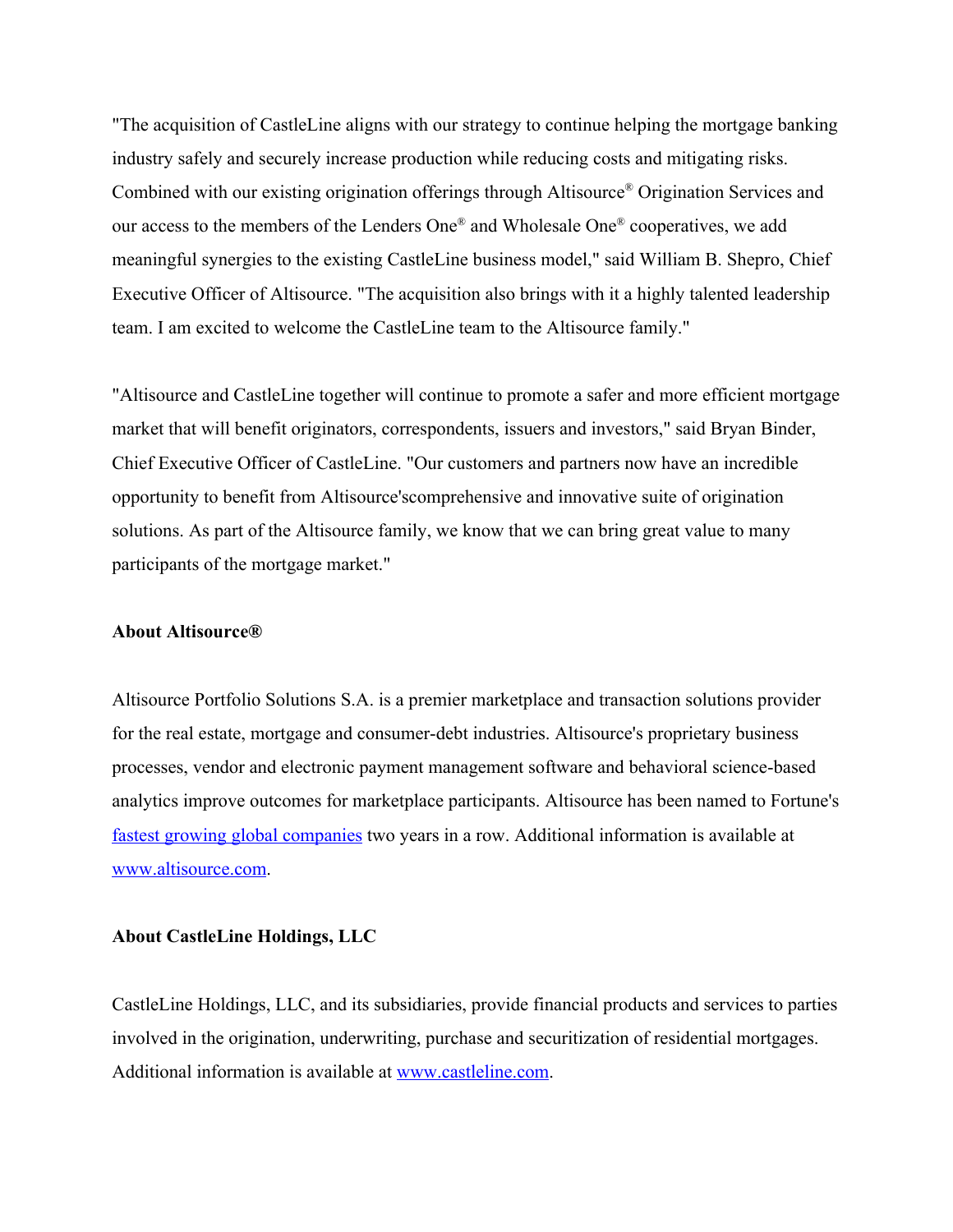"The acquisition of CastleLine aligns with our strategy to continue helping the mortgage banking industry safely and securely increase production while reducing costs and mitigating risks. Combined with our existing origination offerings through Altisource ® Origination Services and our access to the members of the Lenders One® and Wholesale One® cooperatives, we add meaningful synergies to the existing CastleLine business model," said William B. Shepro, Chief Executive Officer of Altisource. "The acquisition also brings with it a highly talented leadership team. I am excited to welcome the CastleLine team to the Altisource family."

"Altisource and CastleLine together will continue to promote a safer and more efficient mortgage market that will benefit originators, correspondents, issuers and investors," said Bryan Binder, Chief Executive Officer of CastleLine. "Our customers and partners now have an incredible opportunity to benefit from Altisource'scomprehensive and innovative suite of origination solutions. As part of the Altisource family, we know that we can bring great value to many participants of the mortgage market."

## **About Altisource®**

Altisource Portfolio Solutions S.A. is a premier marketplace and transaction solutions provider for the real estate, mortgage and consumer-debt industries. Altisource's proprietary business processes, vendor and electronic payment management software and behavioral science-based analytics improve outcomes for marketplace participants. Altisource has been named to Fortune's fastest growing global [companies](http://www.globenewswire.com/newsroom/ctr?d=10142766&l=7&a=fastest%20growing%20global%20companies&u=http%3A%2F%2Ffortune.com%2F100-fastest-growing-companies%2Faltisource-portfolio-solutions-26%2F) two years in a row. Additional information is available at [www.altisource.com.](http://www.altisource.com/)

## **About CastleLine Holdings, LLC**

CastleLine Holdings, LLC, and its subsidiaries, provide financial products and services to parties involved in the origination, underwriting, purchase and securitization of residential mortgages. Additional information is available at [www.castleline.com.](http://www.castleline.com/)